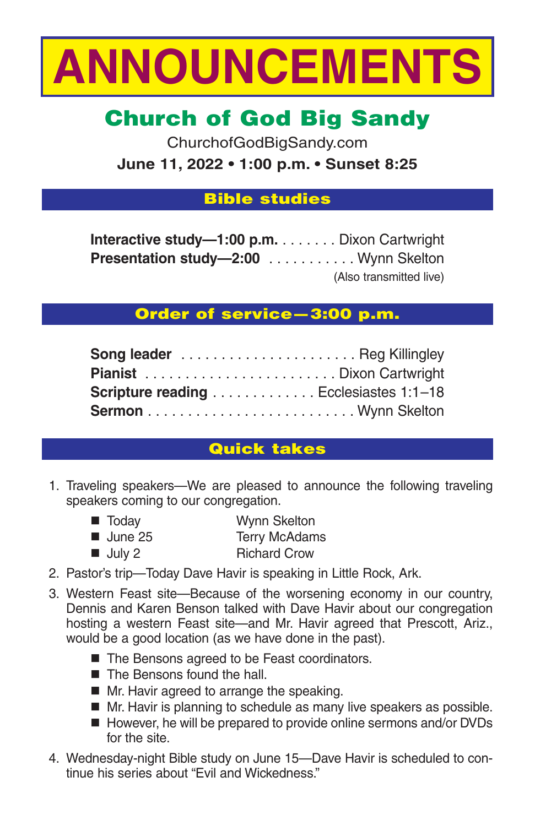

# Church of God Big Sandy

ChurchofGodBigSandy.com **June 11, 2022 • 1:00 p.m. • Sunset 8:25**

## Bible studies

**Interactive study—1:00 p.m.** . . . . . . . Dixon Cartwright **Presentation study—2:00** . . . . . . . . . . . Wynn Skelton (Also transmitted live)

# Order of service—3:00 p.m.

| Scripture reading Ecclesiastes 1:1-18 |  |
|---------------------------------------|--|
|                                       |  |

# Quick takes

- 1. Traveling speakers—We are pleased to announce the following traveling speakers coming to our congregation.
	- Today Wynn Skelton ■ June 25 Terry McAdams
	- July 2 Richard Crow
- 2. Pastor's trip—Today Dave Havir is speaking in Little Rock, Ark.
- 3. Western Feast site—Because of the worsening economy in our country, Dennis and Karen Benson talked with Dave Havir about our congregation hosting a western Feast site—and Mr. Havir agreed that Prescott, Ariz., would be a good location (as we have done in the past).
	- The Bensons agreed to be Feast coordinators.
	- The Bensons found the hall.
	- Mr. Havir agreed to arrange the speaking.
	- Mr. Havir is planning to schedule as many live speakers as possible.
	- However, he will be prepared to provide online sermons and/or DVDs for the site.
- 4. Wednesday-night Bible study on June 15—Dave Havir is scheduled to continue his series about "Evil and Wickedness."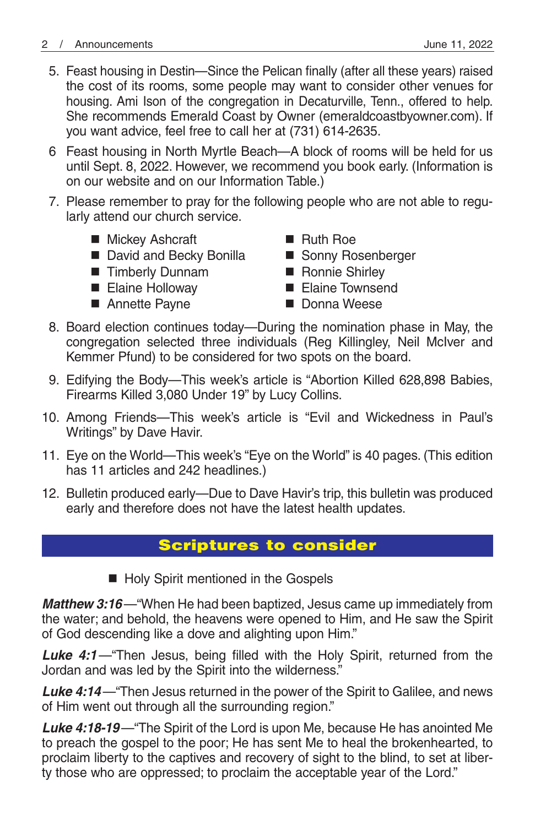- 5. Feast housing in Destin—Since the Pelican finally (after all these years) raised the cost of its rooms, some people may want to consider other venues for housing. Ami Ison of the congregation in Decaturville, Tenn., offered to help. She recommends Emerald Coast by Owner (emeraldcoastbyowner.com). If you want advice, feel free to call her at (731) 614-2635.
- 6 Feast housing in North Myrtle Beach—A block of rooms will be held for us until Sept. 8, 2022. However, we recommend you book early. (Information is on our website and on our Information Table.)
- 7. Please remember to pray for the following people who are not able to regularly attend our church service.
	- Mickey Ashcraft Ruth Roe
	- David and Becky Bonilla Sonny Rosenberger
	- Timberly Dunnam Ronnie Shirley
	-
	- Annette Payne Donna Weese
- 
- 
- - Elaine Holloway Elaine Townsend
		-
- 8. Board election continues today—During the nomination phase in May, the congregation selected three individuals (Reg Killingley, Neil McIver and Kemmer Pfund) to be considered for two spots on the board.
- 9. Edifying the Body—This week's article is "Abortion Killed 628,898 Babies, Firearms Killed 3,080 Under 19" by Lucy Collins.
- 10. Among Friends—This week's article is "Evil and Wickedness in Paul's Writings" by Dave Havir.
- 11. Eye on the World—This week's "Eye on the World" is 40 pages. (This edition has 11 articles and 242 headlines.)
- 12. Bulletin produced early—Due to Dave Havir's trip, this bulletin was produced early and therefore does not have the latest health updates.

# Scriptures to consider

■ Holy Spirit mentioned in the Gospels

*Matthew 3:16*—"When He had been baptized, Jesus came up immediately from the water; and behold, the heavens were opened to Him, and He saw the Spirit of God descending like a dove and alighting upon Him."

Luke 4:1-"Then Jesus, being filled with the Holy Spirit, returned from the Jordan and was led by the Spirit into the wilderness."

*Luke 4:14*—"Then Jesus returned in the power of the Spirit to Galilee, and news of Him went out through all the surrounding region."

*Luke 4:18-19*—"The Spirit of the Lord is upon Me, because He has anointed Me to preach the gospel to the poor; He has sent Me to heal the brokenhearted, to proclaim liberty to the captives and recovery of sight to the blind, to set at liberty those who are oppressed; to proclaim the acceptable year of the Lord."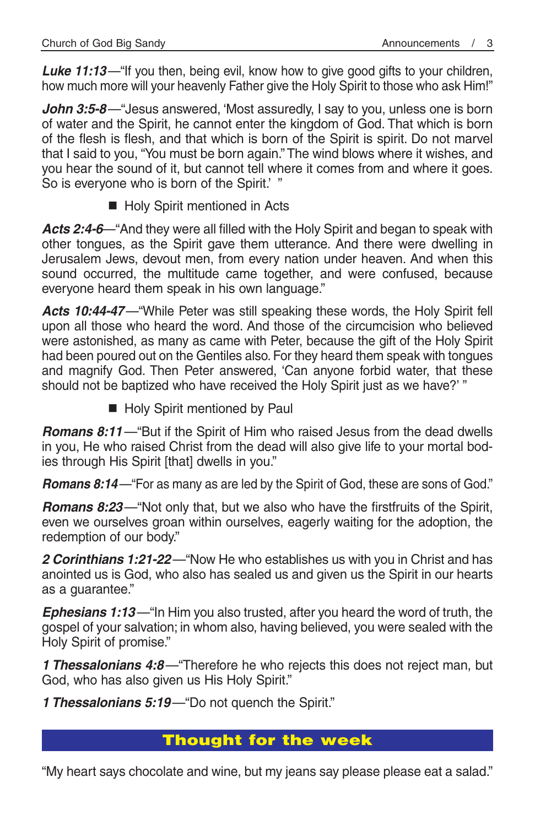*Luke 11:13*—"If you then, being evil, know how to give good gifts to your children, how much more will your heavenly Father give the Holy Spirit to those who ask Him!"

John 3:5-8—"Jesus answered, 'Most assuredly, I say to you, unless one is born of water and the Spirit, he cannot enter the kingdom of God. That which is born of the flesh is flesh, and that which is born of the Spirit is spirit. Do not marvel that I said to you, "You must be born again." The wind blows where it wishes, and you hear the sound of it, but cannot tell where it comes from and where it goes. So is everyone who is born of the Spirit.' "

Holy Spirit mentioned in Acts

*Acts 2:4-6*—"And they were all filled with the Holy Spirit and began to speak with other tongues, as the Spirit gave them utterance. And there were dwelling in Jerusalem Jews, devout men, from every nation under heaven. And when this sound occurred, the multitude came together, and were confused, because everyone heard them speak in his own language."

*Acts 10:44-47*—"While Peter was still speaking these words, the Holy Spirit fell upon all those who heard the word. And those of the circumcision who believed were astonished, as many as came with Peter, because the gift of the Holy Spirit had been poured out on the Gentiles also. For they heard them speak with tongues and magnify God. Then Peter answered, 'Can anyone forbid water, that these should not be baptized who have received the Holy Spirit just as we have?' "

Holy Spirit mentioned by Paul

*Romans 8:11*—"But if the Spirit of Him who raised Jesus from the dead dwells in you, He who raised Christ from the dead will also give life to your mortal bodies through His Spirit [that] dwells in you."

*Romans 8:14*—"For as many as are led by the Spirit of God, these are sons of God."

*Romans 8:23*—"Not only that, but we also who have the firstfruits of the Spirit, even we ourselves groan within ourselves, eagerly waiting for the adoption, the redemption of our body."

*2 Corinthians 1:21-22*—"Now He who establishes us with you in Christ and has anointed us is God, who also has sealed us and given us the Spirit in our hearts as a guarantee."

*Ephesians 1:13*—"In Him you also trusted, after you heard the word of truth, the gospel of your salvation; in whom also, having believed, you were sealed with the Holy Spirit of promise."

*1 Thessalonians 4:8*—"Therefore he who rejects this does not reject man, but God, who has also given us His Holy Spirit."

*1 Thessalonians 5:19*—"Do not quench the Spirit."

## Thought for the week

"My heart says chocolate and wine, but my jeans say please please eat a salad."